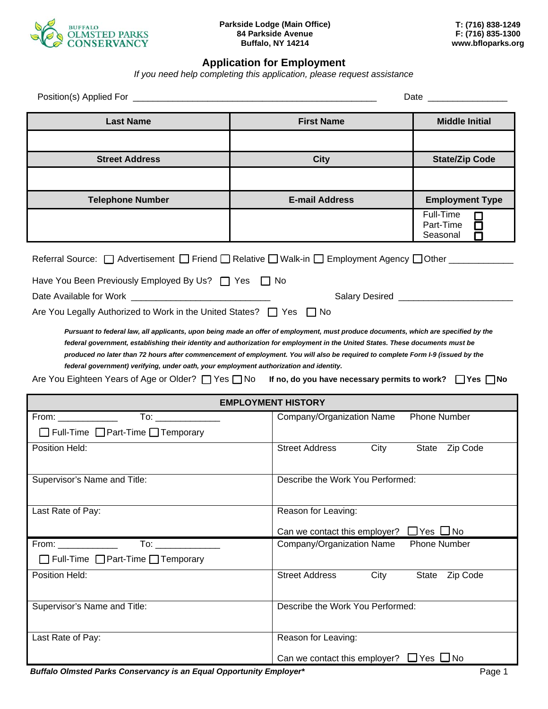

## **Application for Employment**

*If you need help completing this application, please request assistance* 

| <b>Last Name</b>                                                                                                                                                                                                                                                                                                                                                                                                                                                                               | <b>First Name</b>                                  | <b>Middle Initial</b>                        |  |  |
|------------------------------------------------------------------------------------------------------------------------------------------------------------------------------------------------------------------------------------------------------------------------------------------------------------------------------------------------------------------------------------------------------------------------------------------------------------------------------------------------|----------------------------------------------------|----------------------------------------------|--|--|
|                                                                                                                                                                                                                                                                                                                                                                                                                                                                                                |                                                    |                                              |  |  |
| <b>Street Address</b>                                                                                                                                                                                                                                                                                                                                                                                                                                                                          | <b>City</b>                                        | <b>State/Zip Code</b>                        |  |  |
|                                                                                                                                                                                                                                                                                                                                                                                                                                                                                                |                                                    |                                              |  |  |
| <b>Telephone Number</b>                                                                                                                                                                                                                                                                                                                                                                                                                                                                        | <b>E-mail Address</b>                              | <b>Employment Type</b>                       |  |  |
|                                                                                                                                                                                                                                                                                                                                                                                                                                                                                                |                                                    | Full-Time<br>Part-Time<br>囗<br>Seasonal<br>П |  |  |
| Referral Source: □ Advertisement □ Friend □ Relative □ Walk-in □ Employment Agency □ Other ________                                                                                                                                                                                                                                                                                                                                                                                            |                                                    |                                              |  |  |
| Have You Been Previously Employed By Us?   Yes   No                                                                                                                                                                                                                                                                                                                                                                                                                                            |                                                    |                                              |  |  |
| Salary Desired _____________________                                                                                                                                                                                                                                                                                                                                                                                                                                                           |                                                    |                                              |  |  |
| Are You Legally Authorized to Work in the United States? $\Box$ Yes $\Box$ No                                                                                                                                                                                                                                                                                                                                                                                                                  |                                                    |                                              |  |  |
| federal government, establishing their identity and authorization for employment in the United States. These documents must be<br>produced no later than 72 hours after commencement of employment. You will also be required to complete Form I-9 (issued by the<br>federal government) verifying, under oath, your employment authorization and identity.<br>Are You Eighteen Years of Age or Older? $\Box$ Yes $\Box$ No If no, do you have necessary permits to work? $\Box$ Yes $\Box$ No |                                                    |                                              |  |  |
|                                                                                                                                                                                                                                                                                                                                                                                                                                                                                                | <b>EMPLOYMENT HISTORY</b>                          |                                              |  |  |
| $From: ________$<br>$\Box$ Full-Time $\Box$ Part-Time $\Box$ Temporary                                                                                                                                                                                                                                                                                                                                                                                                                         | Company/Organization Name                          | <b>Phone Number</b>                          |  |  |
| Position Held:                                                                                                                                                                                                                                                                                                                                                                                                                                                                                 | <b>Street Address</b><br>City                      | State Zip Code                               |  |  |
|                                                                                                                                                                                                                                                                                                                                                                                                                                                                                                |                                                    |                                              |  |  |
| Supervisor's Name and Title:                                                                                                                                                                                                                                                                                                                                                                                                                                                                   | Describe the Work You Performed:                   |                                              |  |  |
| Last Rate of Pay:                                                                                                                                                                                                                                                                                                                                                                                                                                                                              | Reason for Leaving:                                |                                              |  |  |
|                                                                                                                                                                                                                                                                                                                                                                                                                                                                                                | Can we contact this employer?                      | $\Box$ Yes $\Box$ No                         |  |  |
| To: the contract of the contract of the contract of the contract of the contract of the contract of the contract of the contract of the contract of the contract of the contract of the contract of the contract of the contra<br>$From: ________$                                                                                                                                                                                                                                             | Company/Organization Name                          | <b>Phone Number</b>                          |  |  |
| □ Full-Time □ Part-Time □ Temporary                                                                                                                                                                                                                                                                                                                                                                                                                                                            |                                                    |                                              |  |  |
| Position Held:                                                                                                                                                                                                                                                                                                                                                                                                                                                                                 | <b>Street Address</b><br>City                      | State Zip Code                               |  |  |
| Supervisor's Name and Title:                                                                                                                                                                                                                                                                                                                                                                                                                                                                   | Describe the Work You Performed:                   |                                              |  |  |
| Last Rate of Pay:                                                                                                                                                                                                                                                                                                                                                                                                                                                                              | Reason for Leaving:                                |                                              |  |  |
|                                                                                                                                                                                                                                                                                                                                                                                                                                                                                                | Can we contact this employer? $\Box$ Yes $\Box$ No |                                              |  |  |

**Buffalo Olmsted Parks Conservancy is an Equal Opportunity Employer\* Notation Constant Constant Page 1**